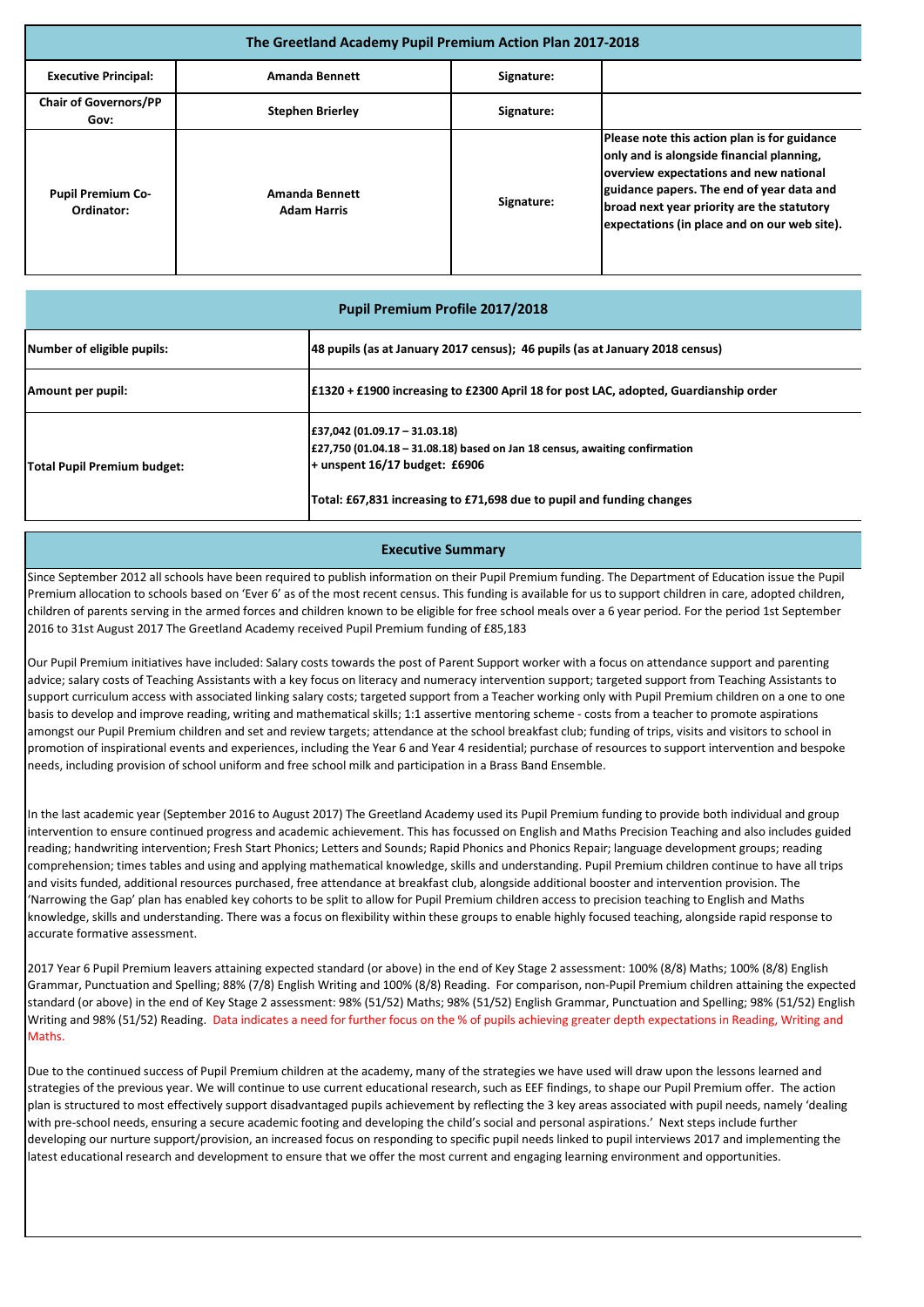| <b>Pupil Premium Profile 2017/2018</b> |                                                                                                                                                                                                                                                     |  |  |
|----------------------------------------|-----------------------------------------------------------------------------------------------------------------------------------------------------------------------------------------------------------------------------------------------------|--|--|
| Number of eligible pupils:             | 48 pupils (as at January 2017 census); 46 pupils (as at January 2018 census)                                                                                                                                                                        |  |  |
| Amount per pupil:                      | $\pm$ 1320 + £1900 increasing to £2300 April 18 for post LAC, adopted, Guardianship order                                                                                                                                                           |  |  |
| <b>Total Pupil Premium budget:</b>     | $\pm$ 37,042 (01.09.17 – 31.03.18)<br>$\left[\frac{27}{750}\right]$ (01.04.18 – 31.08.18) based on Jan 18 census, awaiting confirmation<br>$+$ unspent 16/17 budget: £6906<br>Total: £67,831 increasing to £71,698 due to pupil and funding changes |  |  |

| The Greetland Academy Pupil Premium Action Plan 2017-2018 |                                             |            |                                                                                                                                                                                                                                                                                |  |
|-----------------------------------------------------------|---------------------------------------------|------------|--------------------------------------------------------------------------------------------------------------------------------------------------------------------------------------------------------------------------------------------------------------------------------|--|
| <b>Executive Principal:</b>                               | <b>Amanda Bennett</b>                       | Signature: |                                                                                                                                                                                                                                                                                |  |
| <b>Chair of Governors/PP</b><br>Gov:                      | <b>Stephen Brierley</b>                     | Signature: |                                                                                                                                                                                                                                                                                |  |
| <b>Pupil Premium Co-</b><br>Ordinator:                    | <b>Amanda Bennett</b><br><b>Adam Harris</b> | Signature: | Please note this action plan is for guidance<br>only and is alongside financial planning,<br>overview expectations and new national<br>guidance papers. The end of year data and<br>broad next year priority are the statutory<br>expectations (in place and on our web site). |  |

## **Executive Summary**

Since September 2012 all schools have been required to publish information on their Pupil Premium funding. The Department of Education issue the Pupil Premium allocation to schools based on 'Ever 6' as of the most recent census. This funding is available for us to support children in care, adopted children, children of parents serving in the armed forces and children known to be eligible for free school meals over a 6 year period. For the period 1st September 2016 to 31st August 2017 The Greetland Academy received Pupil Premium funding of £85,183

Our Pupil Premium initiatives have included: Salary costs towards the post of Parent Support worker with a focus on attendance support and parenting advice; salary costs of Teaching Assistants with a key focus on literacy and numeracy intervention support; targeted support from Teaching Assistants to support curriculum access with associated linking salary costs; targeted support from a Teacher working only with Pupil Premium children on a one to one basis to develop and improve reading, writing and mathematical skills; 1:1 assertive mentoring scheme - costs from a teacher to promote aspirations amongst our Pupil Premium children and set and review targets; attendance at the school breakfast club; funding of trips, visits and visitors to school in promotion of inspirational events and experiences, including the Year 6 and Year 4 residential; purchase of resources to support intervention and bespoke needs, including provision of school uniform and free school milk and participation in a Brass Band Ensemble.

In the last academic year (September 2016 to August 2017) The Greetland Academy used its Pupil Premium funding to provide both individual and group intervention to ensure continued progress and academic achievement. This has focussed on English and Maths Precision Teaching and also includes guided reading; handwriting intervention; Fresh Start Phonics; Letters and Sounds; Rapid Phonics and Phonics Repair; language development groups; reading comprehension; times tables and using and applying mathematical knowledge, skills and understanding. Pupil Premium children continue to have all trips and visits funded, additional resources purchased, free attendance at breakfast club, alongside additional booster and intervention provision. The 'Narrowing the Gap' plan has enabled key cohorts to be split to allow for Pupil Premium children access to precision teaching to English and Maths knowledge, skills and understanding. There was a focus on flexibility within these groups to enable highly focused teaching, alongside rapid response to accurate formative assessment.

2017 Year 6 Pupil Premium leavers attaining expected standard (or above) in the end of Key Stage 2 assessment: 100% (8/8) Maths; 100% (8/8) English Grammar, Punctuation and Spelling; 88% (7/8) English Writing and 100% (8/8) Reading. For comparison, non-Pupil Premium children attaining the expected standard (or above) in the end of Key Stage 2 assessment: 98% (51/52) Maths; 98% (51/52) English Grammar, Punctuation and Spelling; 98% (51/52) English Writing and 98% (51/52) Reading. Data indicates a need for further focus on the % of pupils achieving greater depth expectations in Reading, Writing and Maths.

Due to the continued success of Pupil Premium children at the academy, many of the strategies we have used will draw upon the lessons learned and strategies of the previous year. We will continue to use current educational research, such as EEF findings, to shape our Pupil Premium offer. The action plan is structured to most effectively support disadvantaged pupils achievement by reflecting the 3 key areas associated with pupil needs, namely 'dealing with pre-school needs, ensuring a secure academic footing and developing the child's social and personal aspirations.' Next steps include further developing our nurture support/provision, an increased focus on responding to specific pupil needs linked to pupil interviews 2017 and implementing the latest educational research and development to ensure that we offer the most current and engaging learning environment and opportunities.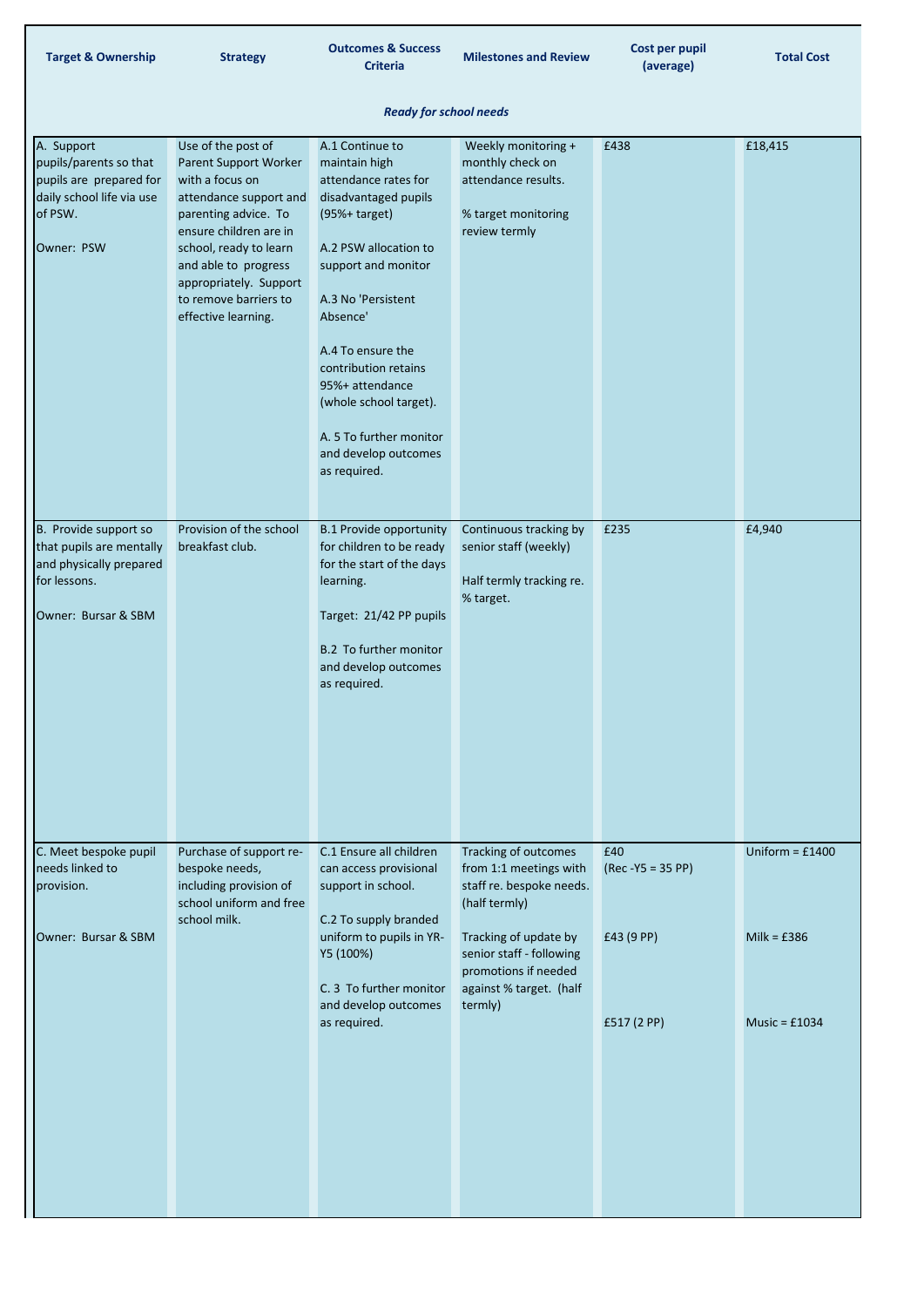| <b>Target &amp; Ownership</b>                                                                                         | <b>Strategy</b>                                                                                                                                                                                                                                                        | <b>Outcomes &amp; Success</b><br><b>Criteria</b>                                                                                                                                                                                                                                                                                                    | <b>Milestones and Review</b>                                                                                                                                                                                   | Cost per pupil<br>(average)                             | <b>Total Cost</b>                                     |
|-----------------------------------------------------------------------------------------------------------------------|------------------------------------------------------------------------------------------------------------------------------------------------------------------------------------------------------------------------------------------------------------------------|-----------------------------------------------------------------------------------------------------------------------------------------------------------------------------------------------------------------------------------------------------------------------------------------------------------------------------------------------------|----------------------------------------------------------------------------------------------------------------------------------------------------------------------------------------------------------------|---------------------------------------------------------|-------------------------------------------------------|
|                                                                                                                       |                                                                                                                                                                                                                                                                        | <b>Ready for school needs</b>                                                                                                                                                                                                                                                                                                                       |                                                                                                                                                                                                                |                                                         |                                                       |
| A. Support<br>pupils/parents so that<br>pupils are prepared for<br>daily school life via use<br>of PSW.<br>Owner: PSW | Use of the post of<br>Parent Support Worker<br>with a focus on<br>attendance support and<br>parenting advice. To<br>ensure children are in<br>school, ready to learn<br>and able to progress<br>appropriately. Support<br>to remove barriers to<br>effective learning. | A.1 Continue to<br>maintain high<br>attendance rates for<br>disadvantaged pupils<br>$(95% + target)$<br>A.2 PSW allocation to<br>support and monitor<br>A.3 No 'Persistent<br>Absence'<br>A.4 To ensure the<br>contribution retains<br>95%+ attendance<br>(whole school target).<br>A. 5 To further monitor<br>and develop outcomes<br>as required. | Weekly monitoring +<br>monthly check on<br>attendance results.<br>% target monitoring<br>review termly                                                                                                         | £438                                                    | £18,415                                               |
| B. Provide support so<br>that pupils are mentally<br>and physically prepared<br>for lessons.<br>Owner: Bursar & SBM   | breakfast club.                                                                                                                                                                                                                                                        | Provision of the school B.1 Provide opportunity Continuous tracking by<br>for children to be ready<br>for the start of the days<br>learning.<br>Target: 21/42 PP pupils<br><b>B.2 To further monitor</b><br>and develop outcomes<br>as required.                                                                                                    | senior staff (weekly)<br>Half termly tracking re.<br>% target.                                                                                                                                                 | £235                                                    | £4,940                                                |
| C. Meet bespoke pupil<br>needs linked to<br>provision.<br>Owner: Bursar & SBM                                         | Purchase of support re-<br>bespoke needs,<br>including provision of<br>school uniform and free<br>school milk.                                                                                                                                                         | C.1 Ensure all children<br>can access provisional<br>support in school.<br>C.2 To supply branded<br>uniform to pupils in YR-<br>Y5 (100%)<br>C. 3 To further monitor<br>and develop outcomes<br>as required.                                                                                                                                        | Tracking of outcomes<br>from 1:1 meetings with<br>staff re. bespoke needs.<br>(half termly)<br>Tracking of update by<br>senior staff - following<br>promotions if needed<br>against % target. (half<br>termly) | £40<br>$(Rec - Y5 = 35 PP)$<br>£43 (9 PP)<br>£517(2 PP) | Uniform = $£1400$<br>Milk = $£386$<br>Music = $£1034$ |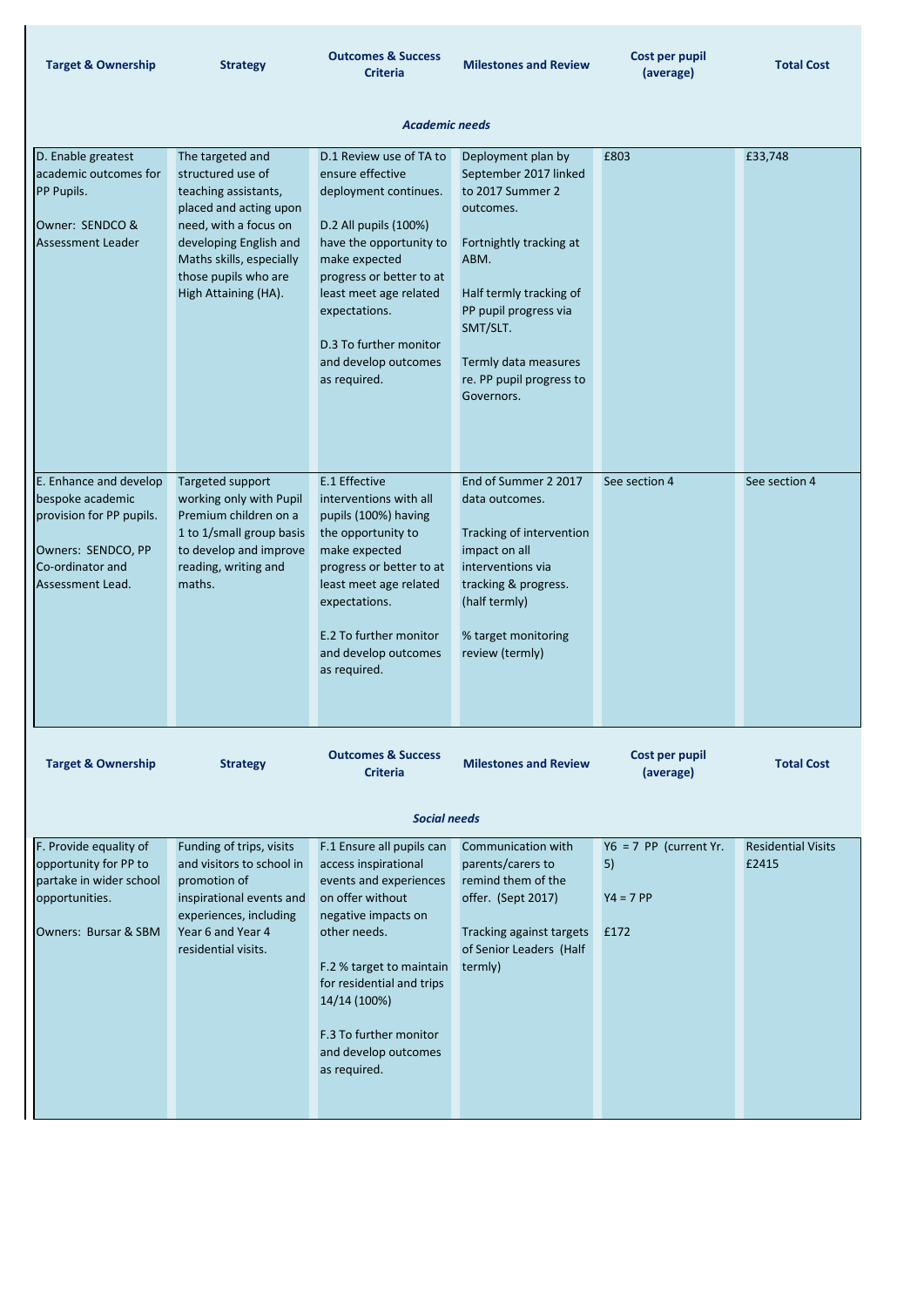| <b>Target &amp; Ownership</b>                                                                                                        | <b>Strategy</b>                                                                                                                                                                                                        | <b>Outcomes &amp; Success</b><br><b>Criteria</b>                                                                                                                                                                                                                                   | <b>Milestones and Review</b>                                                                                                                                                                                                                      | Cost per pupil<br>(average)                           | <b>Total Cost</b>                  |
|--------------------------------------------------------------------------------------------------------------------------------------|------------------------------------------------------------------------------------------------------------------------------------------------------------------------------------------------------------------------|------------------------------------------------------------------------------------------------------------------------------------------------------------------------------------------------------------------------------------------------------------------------------------|---------------------------------------------------------------------------------------------------------------------------------------------------------------------------------------------------------------------------------------------------|-------------------------------------------------------|------------------------------------|
|                                                                                                                                      |                                                                                                                                                                                                                        | <b>Academic needs</b>                                                                                                                                                                                                                                                              |                                                                                                                                                                                                                                                   |                                                       |                                    |
| D. Enable greatest<br>academic outcomes for<br><b>PP Pupils.</b><br>Owner: SENDCO &<br><b>Assessment Leader</b>                      | The targeted and<br>structured use of<br>teaching assistants,<br>placed and acting upon<br>need, with a focus on<br>developing English and<br>Maths skills, especially<br>those pupils who are<br>High Attaining (HA). | D.1 Review use of TA to<br>ensure effective<br>deployment continues.<br>D.2 All pupils (100%)<br>have the opportunity to<br>make expected<br>progress or better to at<br>least meet age related<br>expectations.<br>D.3 To further monitor<br>and develop outcomes<br>as required. | Deployment plan by<br>September 2017 linked<br>to 2017 Summer 2<br>outcomes.<br>Fortnightly tracking at<br>ABM.<br>Half termly tracking of<br>PP pupil progress via<br>SMT/SLT.<br>Termly data measures<br>re. PP pupil progress to<br>Governors. | £803                                                  | £33,748                            |
| E. Enhance and develop<br>bespoke academic<br>provision for PP pupils.<br>Owners: SENDCO, PP<br>Co-ordinator and<br>Assessment Lead. | Targeted support<br>working only with Pupil<br>Premium children on a<br>1 to 1/small group basis<br>to develop and improve<br>reading, writing and<br>maths.                                                           | E.1 Effective<br>interventions with all<br>pupils (100%) having<br>the opportunity to<br>make expected<br>progress or better to at<br>least meet age related<br>expectations.<br>E.2 To further monitor<br>and develop outcomes<br>as required.                                    | End of Summer 2 2017<br>data outcomes.<br>Tracking of intervention<br>impact on all<br>interventions via<br>tracking & progress.<br>(half termly)<br>% target monitoring<br>review (termly)                                                       | See section 4                                         | See section 4                      |
| <b>Target &amp; Ownership</b>                                                                                                        | <b>Strategy</b>                                                                                                                                                                                                        | <b>Outcomes &amp; Success</b><br><b>Criteria</b>                                                                                                                                                                                                                                   | <b>Milestones and Review</b>                                                                                                                                                                                                                      | Cost per pupil<br>(average)                           | <b>Total Cost</b>                  |
| <b>Social needs</b>                                                                                                                  |                                                                                                                                                                                                                        |                                                                                                                                                                                                                                                                                    |                                                                                                                                                                                                                                                   |                                                       |                                    |
| F. Provide equality of<br>opportunity for PP to<br>partake in wider school<br>opportunities.<br>Owners: Bursar & SBM                 | Funding of trips, visits<br>and visitors to school in<br>promotion of<br>inspirational events and<br>experiences, including<br>Year 6 and Year 4<br>residential visits.                                                | F.1 Ensure all pupils can<br>access inspirational<br>events and experiences<br>on offer without<br>negative impacts on<br>other needs.<br>F.2 % target to maintain<br>for residential and trips                                                                                    | Communication with<br>parents/carers to<br>remind them of the<br>offer. (Sept 2017)<br>Tracking against targets<br>of Senior Leaders (Half<br>termly)                                                                                             | $Y6 = 7 PP$ (current Yr.<br>5)<br>$Y4 = 7 PP$<br>£172 | <b>Residential Visits</b><br>£2415 |



F.3 To further monitor and develop outcomes as required.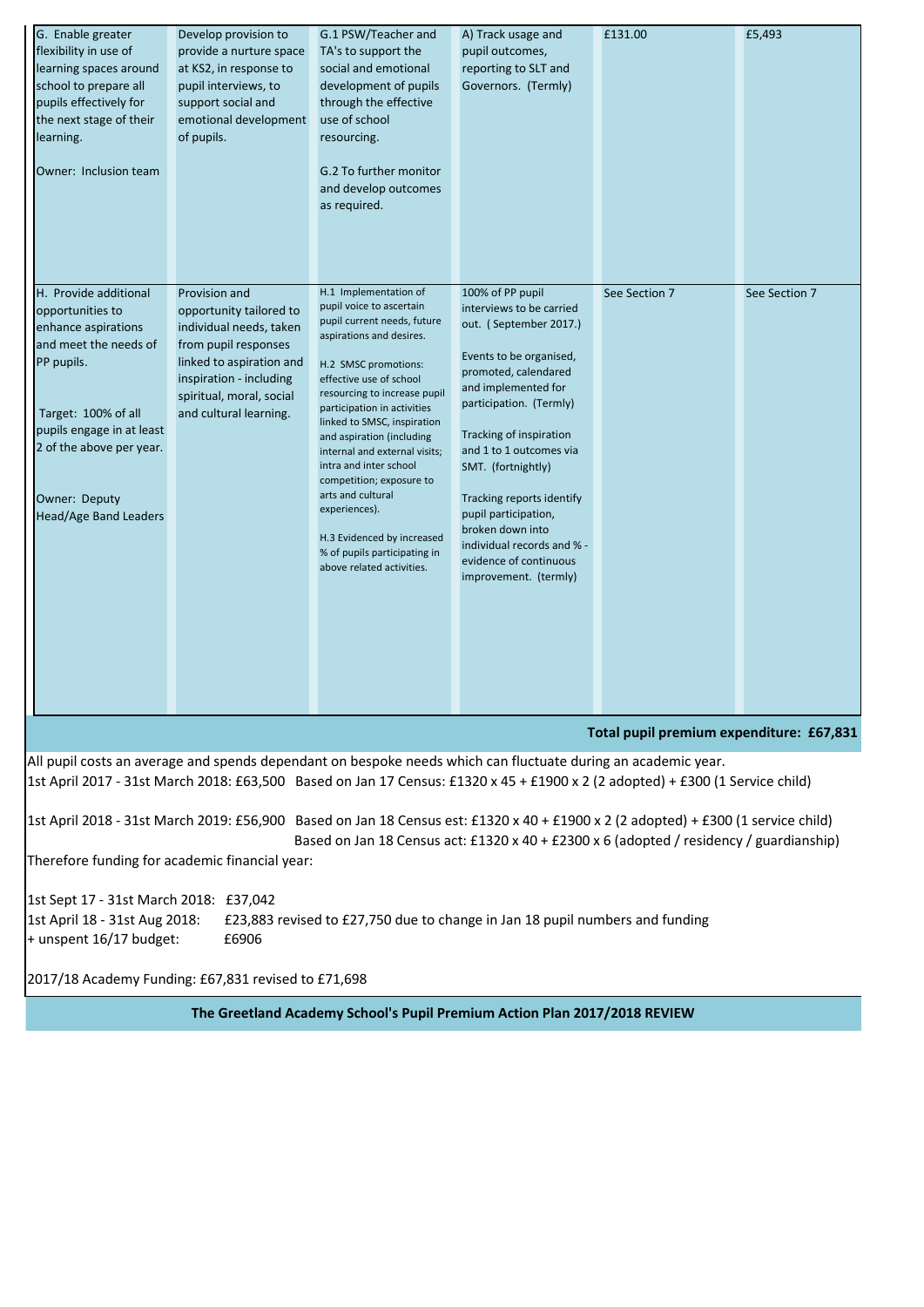| G. Enable greater<br>flexibility in use of<br>learning spaces around<br>school to prepare all<br>pupils effectively for<br>the next stage of their<br>learning.<br>Owner: Inclusion team                                                                                       | Develop provision to<br>provide a nurture space<br>at KS2, in response to<br>pupil interviews, to<br>support social and<br>emotional development<br>of pupils.                                           | G.1 PSW/Teacher and<br>TA's to support the<br>social and emotional<br>development of pupils<br>through the effective<br>use of school<br>resourcing.<br>G.2 To further monitor<br>and develop outcomes<br>as required.                                                                                                                                                                                                                                                                                             | A) Track usage and<br>pupil outcomes,<br>reporting to SLT and<br>Governors. (Termly)                                                                                                                                                                                                                                                                                                                              | £131.00       | £5,493        |
|--------------------------------------------------------------------------------------------------------------------------------------------------------------------------------------------------------------------------------------------------------------------------------|----------------------------------------------------------------------------------------------------------------------------------------------------------------------------------------------------------|--------------------------------------------------------------------------------------------------------------------------------------------------------------------------------------------------------------------------------------------------------------------------------------------------------------------------------------------------------------------------------------------------------------------------------------------------------------------------------------------------------------------|-------------------------------------------------------------------------------------------------------------------------------------------------------------------------------------------------------------------------------------------------------------------------------------------------------------------------------------------------------------------------------------------------------------------|---------------|---------------|
| H. Provide additional<br>opportunities to<br>enhance aspirations<br>and meet the needs of<br>PP pupils.<br>Target: 100% of all<br>pupils engage in at least<br>2 of the above per year.<br>Owner: Deputy<br><b>Head/Age Band Leaders</b>                                       | Provision and<br>opportunity tailored to<br>individual needs, taken<br>from pupil responses<br>linked to aspiration and<br>inspiration - including<br>spiritual, moral, social<br>and cultural learning. | H.1 Implementation of<br>pupil voice to ascertain<br>pupil current needs, future<br>aspirations and desires.<br>H.2 SMSC promotions:<br>effective use of school<br>resourcing to increase pupil<br>participation in activities<br>linked to SMSC, inspiration<br>and aspiration (including<br>internal and external visits;<br>intra and inter school<br>competition; exposure to<br>arts and cultural<br>experiences).<br>H.3 Evidenced by increased<br>% of pupils participating in<br>above related activities. | 100% of PP pupil<br>interviews to be carried<br>out. (September 2017.)<br>Events to be organised,<br>promoted, calendared<br>and implemented for<br>participation. (Termly)<br>Tracking of inspiration<br>and 1 to 1 outcomes via<br>SMT. (fortnightly)<br>Tracking reports identify<br>pupil participation,<br>broken down into<br>individual records and % -<br>evidence of continuous<br>improvement. (termly) | See Section 7 | See Section 7 |
| Total pupil premium expenditure: £67,831                                                                                                                                                                                                                                       |                                                                                                                                                                                                          |                                                                                                                                                                                                                                                                                                                                                                                                                                                                                                                    |                                                                                                                                                                                                                                                                                                                                                                                                                   |               |               |
| All pupil costs an average and spends dependant on bespoke needs which can fluctuate during an academic year.<br>1st April 2017 - 31st March 2018: £63,500 Based on Jan 17 Census: £1320 x 45 + £1900 x 2 (2 adopted) + £300 (1 Service child)                                 |                                                                                                                                                                                                          |                                                                                                                                                                                                                                                                                                                                                                                                                                                                                                                    |                                                                                                                                                                                                                                                                                                                                                                                                                   |               |               |
| 1st April 2018 - 31st March 2019: £56,900 Based on Jan 18 Census est: £1320 x 40 + £1900 x 2 (2 adopted) + £300 (1 service child)<br>Based on Jan 18 Census act: £1320 x 40 + £2300 x 6 (adopted / residency / guardianship)<br>Therefore funding for academic financial year: |                                                                                                                                                                                                          |                                                                                                                                                                                                                                                                                                                                                                                                                                                                                                                    |                                                                                                                                                                                                                                                                                                                                                                                                                   |               |               |
| 1st Sept 17 - 31st March 2018: £37,042<br>£23,883 revised to £27,750 due to change in Jan 18 pupil numbers and funding<br>1st April 18 - 31st Aug 2018:<br>+ unspent 16/17 budget:<br>£6906                                                                                    |                                                                                                                                                                                                          |                                                                                                                                                                                                                                                                                                                                                                                                                                                                                                                    |                                                                                                                                                                                                                                                                                                                                                                                                                   |               |               |

2017/18 Academy Funding: £67,831 revised to £71,698

## **The Greetland Academy School's Pupil Premium Action Plan 2017/2018 REVIEW**